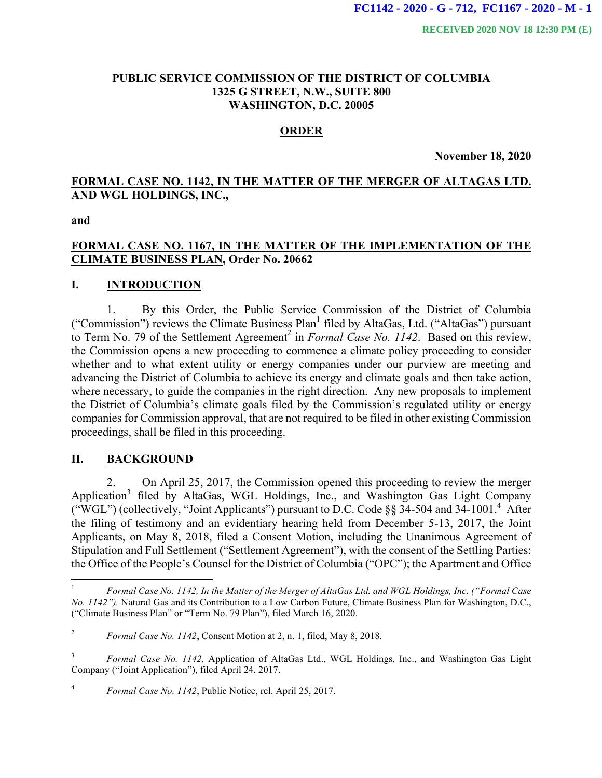## **PUBLIC SERVICE COMMISSION OF THE DISTRICT OF COLUMBIA 1325 G STREET, N.W., SUITE 800 WASHINGTON, D.C. 20005**

#### **ORDER**

 **November 18, 2020**

# **FORMAL CASE NO. 1142, IN THE MATTER OF THE MERGER OF ALTAGAS LTD. AND WGL HOLDINGS, INC.,**

**and** 

## **FORMAL CASE NO. 1167, IN THE MATTER OF THE IMPLEMENTATION OF THE CLIMATE BUSINESS PLAN, Order No. 20662**

### **I. INTRODUCTION**

1. By this Order, the Public Service Commission of the District of Columbia ("Commission") reviews the Climate Business Plan<sup>1</sup> filed by AltaGas, Ltd. ("AltaGas") pursuant to Term No. 79 of the Settlement Agreement<sup>2</sup> in *Formal Case No. 1142*. Based on this review, the Commission opens a new proceeding to commence a climate policy proceeding to consider whether and to what extent utility or energy companies under our purview are meeting and advancing the District of Columbia to achieve its energy and climate goals and then take action, where necessary, to guide the companies in the right direction. Any new proposals to implement the District of Columbia's climate goals filed by the Commission's regulated utility or energy companies for Commission approval, that are not required to be filed in other existing Commission proceedings, shall be filed in this proceeding.

### **II. BACKGROUND**

2. On April 25, 2017, the Commission opened this proceeding to review the merger Application<sup>3</sup> filed by AltaGas, WGL Holdings, Inc., and Washington Gas Light Company ("WGL") (collectively, "Joint Applicants") pursuant to D.C. Code §§ 34-504 and 34-1001.<sup>4</sup> After the filing of testimony and an evidentiary hearing held from December 5-13, 2017, the Joint Applicants, on May 8, 2018, filed a Consent Motion, including the Unanimous Agreement of Stipulation and Full Settlement ("Settlement Agreement"), with the consent of the Settling Parties: the Office of the People's Counsel for the District of Columbia ("OPC"); the Apartment and Office

 <sup>1</sup> *Formal Case No. 1142, In the Matter of the Merger of AltaGas Ltd. and WGL Holdings, Inc. ("Formal Case No. 1142"),* Natural Gas and its Contribution to a Low Carbon Future, Climate Business Plan for Washington, D.C., ("Climate Business Plan" or "Term No. 79 Plan"), filed March 16, 2020.

<sup>&</sup>lt;sup>2</sup> *Formal Case No. 1142*, Consent Motion at 2, n. 1, filed, May 8, 2018.

<sup>3</sup> *Formal Case No. 1142,* Application of AltaGas Ltd., WGL Holdings, Inc., and Washington Gas Light Company ("Joint Application"), filed April 24, 2017.

<sup>4</sup> *Formal Case No. 1142*, Public Notice, rel. April 25, 2017.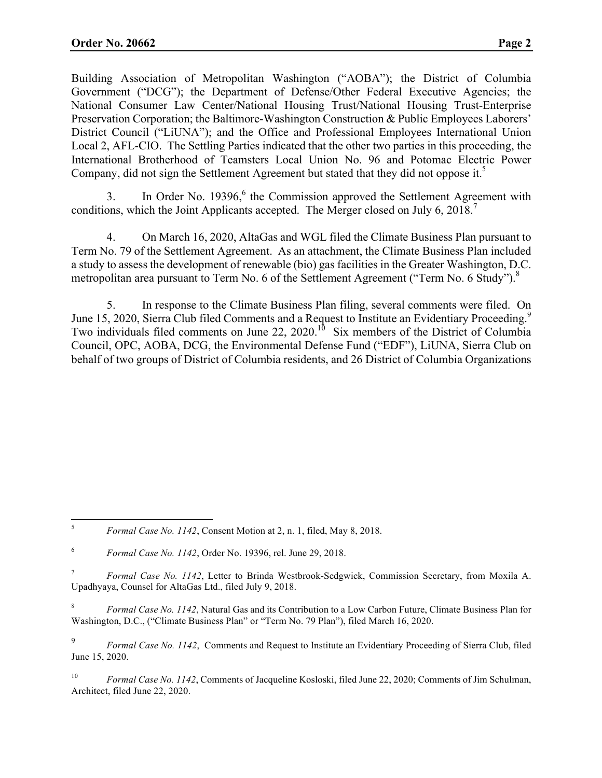Building Association of Metropolitan Washington ("AOBA"); the District of Columbia Government ("DCG"); the Department of Defense/Other Federal Executive Agencies; the National Consumer Law Center/National Housing Trust/National Housing Trust-Enterprise Preservation Corporation; the Baltimore-Washington Construction & Public Employees Laborers' District Council ("LiUNA"); and the Office and Professional Employees International Union Local 2, AFL-CIO. The Settling Parties indicated that the other two parties in this proceeding, the International Brotherhood of Teamsters Local Union No. 96 and Potomac Electric Power Company, did not sign the Settlement Agreement but stated that they did not oppose it.<sup>5</sup>

3. In Order No. 19396, $6$  the Commission approved the Settlement Agreement with conditions, which the Joint Applicants accepted. The Merger closed on July 6,  $2018$ <sup>7</sup>

4. On March 16, 2020, AltaGas and WGL filed the Climate Business Plan pursuant to Term No. 79 of the Settlement Agreement. As an attachment, the Climate Business Plan included a study to assess the development of renewable (bio) gas facilities in the Greater Washington, D.C. metropolitan area pursuant to Term No. 6 of the Settlement Agreement ("Term No. 6 Study").<sup>8</sup>

5. In response to the Climate Business Plan filing, several comments were filed. On June 15, 2020, Sierra Club filed Comments and a Request to Institute an Evidentiary Proceeding.<sup>9</sup> Two individuals filed comments on June 22, 2020.<sup>10</sup> Six members of the District of Columbia Council, OPC, AOBA, DCG, the Environmental Defense Fund ("EDF"), LiUNA, Sierra Club on behalf of two groups of District of Columbia residents, and 26 District of Columbia Organizations

<sup>9</sup> *Formal Case No. 1142*, Comments and Request to Institute an Evidentiary Proceeding of Sierra Club, filed June 15, 2020.

<sup>10</sup> *Formal Case No. 1142*, Comments of Jacqueline Kosloski, filed June 22, 2020; Comments of Jim Schulman, Architect, filed June 22, 2020.

 <sup>5</sup> *Formal Case No. 1142*, Consent Motion at 2, n. 1, filed, May 8, 2018.

<sup>6</sup> *Formal Case No. 1142*, Order No. 19396, rel. June 29, 2018.

<sup>7</sup> *Formal Case No. 1142*, Letter to Brinda Westbrook-Sedgwick, Commission Secretary, from Moxila A. Upadhyaya, Counsel for AltaGas Ltd., filed July 9, 2018.

<sup>8</sup> *Formal Case No. 1142*, Natural Gas and its Contribution to a Low Carbon Future, Climate Business Plan for Washington, D.C., ("Climate Business Plan" or "Term No. 79 Plan"), filed March 16, 2020.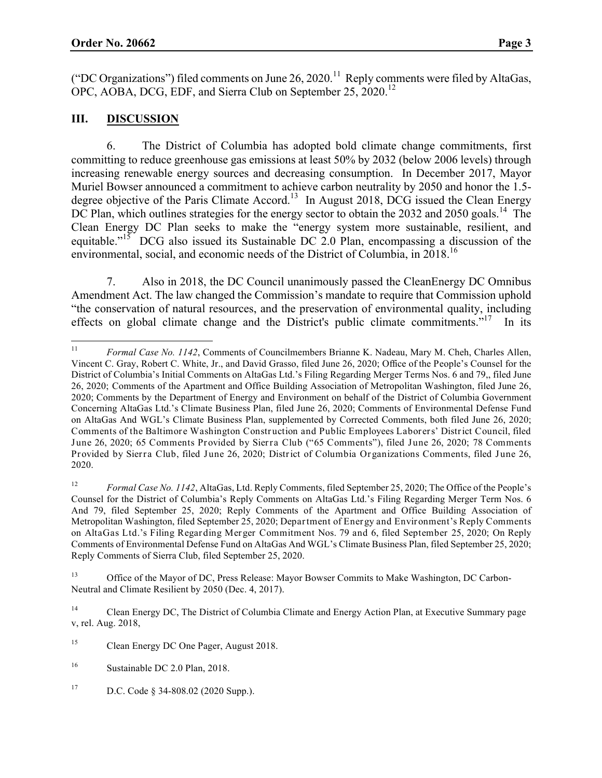("DC Organizations") filed comments on June 26, 2020.<sup>11</sup> Reply comments were filed by AltaGas, OPC, AOBA, DCG, EDF, and Sierra Club on September 25, 2020.<sup>12</sup>

## **III. DISCUSSION**

6. The District of Columbia has adopted bold climate change commitments, first committing to reduce greenhouse gas emissions at least 50% by 2032 (below 2006 levels) through increasing renewable energy sources and decreasing consumption. In December 2017, Mayor Muriel Bowser announced a commitment to achieve carbon neutrality by 2050 and honor the 1.5 degree objective of the Paris Climate Accord.<sup>13</sup> In August 2018, DCG issued the Clean Energy DC Plan, which outlines strategies for the energy sector to obtain the 2032 and 2050 goals.<sup>14</sup> The Clean Energy DC Plan seeks to make the "energy system more sustainable, resilient, and equitable."<sup>15"</sup> DCG also issued its Sustainable DC 2.0 Plan, encompassing a discussion of the environmental, social, and economic needs of the District of Columbia, in 2018.<sup>16</sup>

7. Also in 2018, the DC Council unanimously passed the CleanEnergy DC Omnibus Amendment Act. The law changed the Commission's mandate to require that Commission uphold "the conservation of natural resources, and the preservation of environmental quality, including effects on global climate change and the District's public climate commitments."<sup>17</sup> In its

 <sup>11</sup> *Formal Case No. 1142*, Comments of Councilmembers Brianne K. Nadeau, Mary M. Cheh, Charles Allen, Vincent C. Gray, Robert C. White, Jr., and David Grasso, filed June 26, 2020; Office of the People's Counsel for the District of Columbia's Initial Comments on AltaGas Ltd.'s Filing Regarding Merger Terms Nos. 6 and 79,, filed June 26, 2020; Comments of the Apartment and Office Building Association of Metropolitan Washington, filed June 26, 2020; Comments by the Department of Energy and Environment on behalf of the District of Columbia Government Concerning AltaGas Ltd.'s Climate Business Plan, filed June 26, 2020; Comments of Environmental Defense Fund on AltaGas And WGL's Climate Business Plan, supplemented by Corrected Comments, both filed June 26, 2020; Comments of the Baltimore Washington Construction and Public Employees Laborers' District Council, filed June 26, 2020; 65 Comments Provided by Sierra Club ("65 Comments"), filed June 26, 2020; 78 Comments Provided by Sierra Club, filed June 26, 2020; District of Columbia Organizations Comments, filed June 26, 2020.

<sup>&</sup>lt;sup>12</sup> *Formal Case No. 1142*, AltaGas, Ltd. Reply Comments, filed September 25, 2020; The Office of the People's Counsel for the District of Columbia's Reply Comments on AltaGas Ltd.'s Filing Regarding Merger Term Nos. 6 And 79, filed September 25, 2020; Reply Comments of the Apartment and Office Building Association of Metropolitan Washington, filed September 25, 2020; Department of Energy and Environment's Reply Comments on AltaGas Ltd.'s Filing Regarding Merger Commitment Nos. 79 and 6, filed September 25, 2020; On Reply Comments of Environmental Defense Fund on AltaGas And WGL's Climate Business Plan, filed September 25, 2020; Reply Comments of Sierra Club, filed September 25, 2020.

<sup>&</sup>lt;sup>13</sup> Office of the Mayor of DC, Press Release: Mayor Bowser Commits to Make Washington, DC Carbon-Neutral and Climate Resilient by 2050 (Dec. 4, 2017).

<sup>&</sup>lt;sup>14</sup> Clean Energy DC, The District of Columbia Climate and Energy Action Plan, at Executive Summary page v, rel. Aug. 2018,

<sup>15</sup> Clean Energy DC One Pager, August 2018.

<sup>16</sup> Sustainable DC 2.0 Plan, 2018.

<sup>17</sup> D.C. Code § 34-808.02 (2020 Supp.).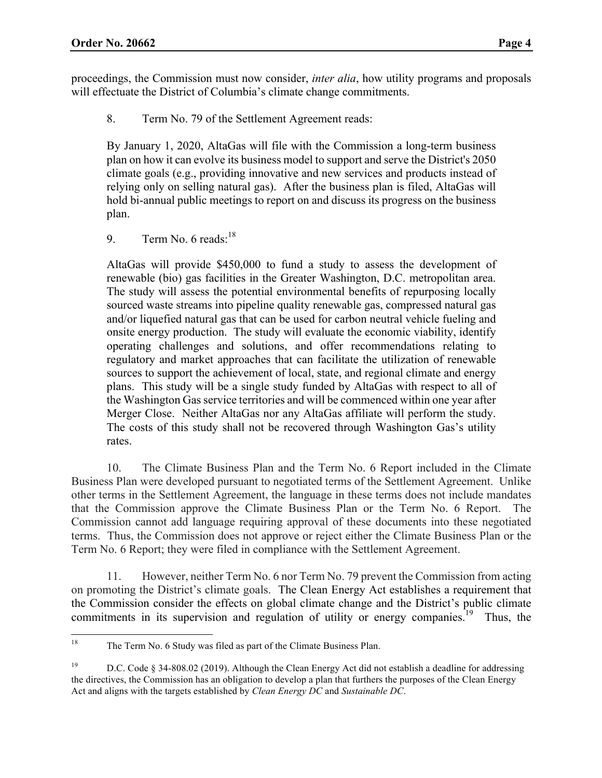proceedings, the Commission must now consider, *inter alia*, how utility programs and proposals will effectuate the District of Columbia's climate change commitments.

8. Term No. 79 of the Settlement Agreement reads:

By January 1, 2020, AltaGas will file with the Commission a long-term business plan on how it can evolve its business model to support and serve the District's 2050 climate goals (e.g., providing innovative and new services and products instead of relying only on selling natural gas). After the business plan is filed, AltaGas will hold bi-annual public meetings to report on and discuss its progress on the business plan.

9. Term No. 6 reads:<sup>18</sup>

AltaGas will provide \$450,000 to fund a study to assess the development of renewable (bio) gas facilities in the Greater Washington, D.C. metropolitan area. The study will assess the potential environmental benefits of repurposing locally sourced waste streams into pipeline quality renewable gas, compressed natural gas and/or liquefied natural gas that can be used for carbon neutral vehicle fueling and onsite energy production. The study will evaluate the economic viability, identify operating challenges and solutions, and offer recommendations relating to regulatory and market approaches that can facilitate the utilization of renewable sources to support the achievement of local, state, and regional climate and energy plans. This study will be a single study funded by AltaGas with respect to all of the Washington Gas service territories and will be commenced within one year after Merger Close. Neither AltaGas nor any AltaGas affiliate will perform the study. The costs of this study shall not be recovered through Washington Gas's utility rates.

10. The Climate Business Plan and the Term No. 6 Report included in the Climate Business Plan were developed pursuant to negotiated terms of the Settlement Agreement. Unlike other terms in the Settlement Agreement, the language in these terms does not include mandates that the Commission approve the Climate Business Plan or the Term No. 6 Report. The Commission cannot add language requiring approval of these documents into these negotiated terms. Thus, the Commission does not approve or reject either the Climate Business Plan or the Term No. 6 Report; they were filed in compliance with the Settlement Agreement.

11. However, neither Term No. 6 nor Term No. 79 prevent the Commission from acting on promoting the District's climate goals. The Clean Energy Act establishes a requirement that the Commission consider the effects on global climate change and the District's public climate commitments in its supervision and regulation of utility or energy companies.<sup>19</sup> Thus, the

<sup>&</sup>lt;sup>18</sup> The Term No. 6 Study was filed as part of the Climate Business Plan.

<sup>&</sup>lt;sup>19</sup> D.C. Code § 34-808.02 (2019). Although the Clean Energy Act did not establish a deadline for addressing the directives, the Commission has an obligation to develop a plan that furthers the purposes of the Clean Energy Act and aligns with the targets established by *Clean Energy DC* and *Sustainable DC*.